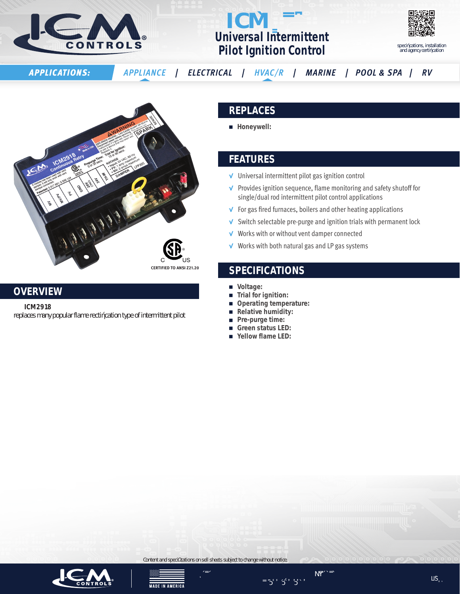

# ICM2918 **Universal Intermittent Pilot Ignition Control**



*APPLICATIONS: APPLIANCE | ELECTRICAL | HVAC/R | MARINE | POOL & SPA | RV*



### **OVERVIEW**

The **ICM2918** Universal Intermittent Pilot Gas Ignition Control Module replaces many popular flame rectification type of intermittent pilot ignition (IPI) modules, including those manufactured by Honeywell, Robertshaw, and Johnson Controls.

## **REPLACES**

■ **Honeywell:** S8610U (and compatible Camstat, Fenwall, HSC, Johnson Controls, Robertshaw and White-Rodgers models).

### **FEATURES**

- **√** Universal intermittent pilot gas ignition control
- **√** Provides ignition sequence, flame monitoring and safety shutoff for single/dual rod intermittent pilot control applications
- **√** For gas fired furnaces, boilers and other heating applications
- **√** Switch selectable pre-purge and ignition trials with permanent lock
- **√** Works with or without vent damper connected
- **√** Works with both natural gas and LP gas systems

#### **SPECIFICATIONS**

- **■ Voltage:** 18-30 VAC @ 50/60 Hz
- **Trial for ignition:** 15 or 90 seconds (switch settable)
- **Operating temperature:** -40°F to 165°F (-40°C to 74°C)
- **■ Relative humidity:** 5% 95% (non-condensing) at +55°C
- **Pre-purge time:** 0 sec or 30 sec (switch settable)
- **■ Green status LED:** System status and error codes
- **■ Yellow flame LED:** Flame presence and flame strength





*Content and specifications on sell sheets subject to change without notice.*

www.icmcontrols.com | 1-800-365-5525 | info@icmcontrols.com 7313 William Barry Blvd. North Syracuse, NY 13212